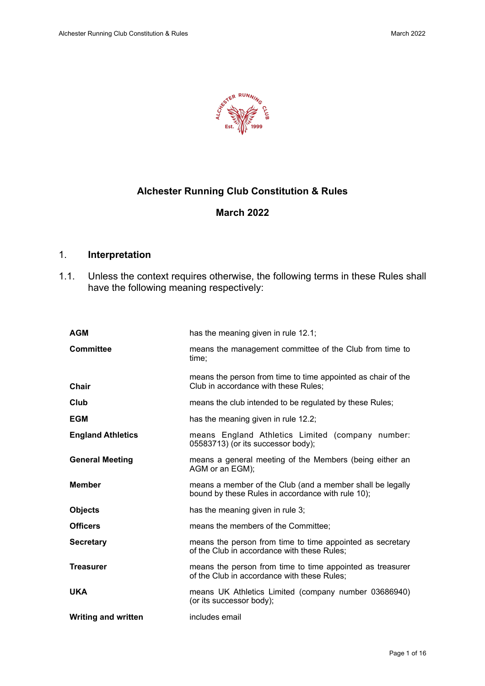

# **Alchester Running Club Constitution & Rules**

# **March 2022**

# 1. **Interpretation**

1.1. Unless the context requires otherwise, the following terms in these Rules shall have the following meaning respectively:

| <b>AGM</b>                 | has the meaning given in rule 12.1;                                                                            |
|----------------------------|----------------------------------------------------------------------------------------------------------------|
| <b>Committee</b>           | means the management committee of the Club from time to<br>time:                                               |
| Chair                      | means the person from time to time appointed as chair of the<br>Club in accordance with these Rules:           |
| Club                       | means the club intended to be regulated by these Rules;                                                        |
| <b>EGM</b>                 | has the meaning given in rule 12.2;                                                                            |
| <b>England Athletics</b>   | means England Athletics Limited (company number:<br>05583713) (or its successor body);                         |
| <b>General Meeting</b>     | means a general meeting of the Members (being either an<br>AGM or an EGM);                                     |
| <b>Member</b>              | means a member of the Club (and a member shall be legally<br>bound by these Rules in accordance with rule 10); |
| <b>Objects</b>             | has the meaning given in rule 3;                                                                               |
| <b>Officers</b>            | means the members of the Committee;                                                                            |
| <b>Secretary</b>           | means the person from time to time appointed as secretary<br>of the Club in accordance with these Rules;       |
| <b>Treasurer</b>           | means the person from time to time appointed as treasurer<br>of the Club in accordance with these Rules;       |
| <b>UKA</b>                 | means UK Athletics Limited (company number 03686940)<br>(or its successor body);                               |
| <b>Writing and written</b> | includes email                                                                                                 |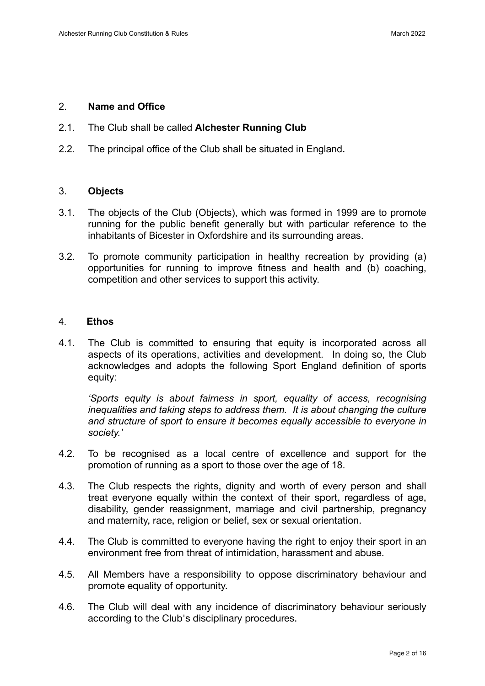### 2. **Name and Office**

- 2.1. The Club shall be called **Alchester Running Club**
- 2.2. The principal office of the Club shall be situated in England**.**

### 3. **Objects**

- 3.1. The objects of the Club (Objects), which was formed in 1999 are to promote running for the public benefit generally but with particular reference to the inhabitants of Bicester in Oxfordshire and its surrounding areas.
- 3.2. To promote community participation in healthy recreation by providing (a) opportunities for running to improve fitness and health and (b) coaching, competition and other services to support this activity.

### 4. **Ethos**

4.1. The Club is committed to ensuring that equity is incorporated across all aspects of its operations, activities and development. In doing so, the Club acknowledges and adopts the following Sport England definition of sports equity:

*'Sports equity is about fairness in sport, equality of access, recognising inequalities and taking steps to address them. It is about changing the culture and structure of sport to ensure it becomes equally accessible to everyone in society.'*

- 4.2. To be recognised as a local centre of excellence and support for the promotion of running as a sport to those over the age of 18.
- 4.3. The Club respects the rights, dignity and worth of every person and shall treat everyone equally within the context of their sport, regardless of age, disability, gender reassignment, marriage and civil partnership, pregnancy and maternity, race, religion or belief, sex or sexual orientation.
- 4.4. The Club is committed to everyone having the right to enjoy their sport in an environment free from threat of intimidation, harassment and abuse.
- 4.5. All Members have a responsibility to oppose discriminatory behaviour and promote equality of opportunity.
- 4.6. The Club will deal with any incidence of discriminatory behaviour seriously according to the Club's disciplinary procedures.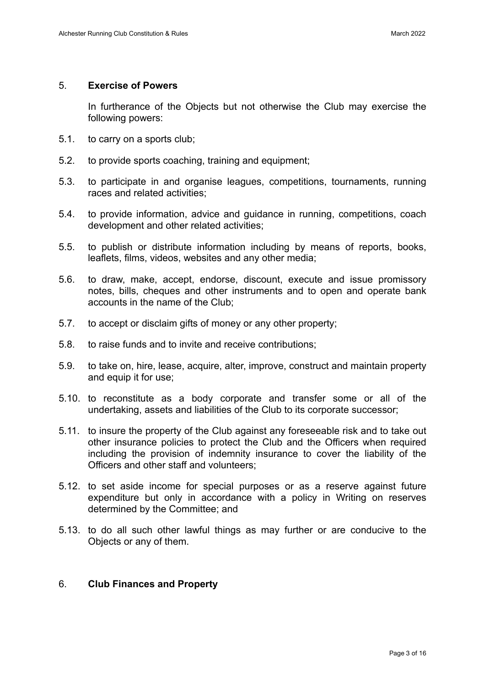### 5. **Exercise of Powers**

In furtherance of the Objects but not otherwise the Club may exercise the following powers:

- 5.1. to carry on a sports club;
- 5.2. to provide sports coaching, training and equipment;
- 5.3. to participate in and organise leagues, competitions, tournaments, running races and related activities;
- 5.4. to provide information, advice and guidance in running, competitions, coach development and other related activities;
- 5.5. to publish or distribute information including by means of reports, books, leaflets, films, videos, websites and any other media;
- 5.6. to draw, make, accept, endorse, discount, execute and issue promissory notes, bills, cheques and other instruments and to open and operate bank accounts in the name of the Club;
- 5.7. to accept or disclaim gifts of money or any other property;
- 5.8. to raise funds and to invite and receive contributions;
- 5.9. to take on, hire, lease, acquire, alter, improve, construct and maintain property and equip it for use;
- 5.10. to reconstitute as a body corporate and transfer some or all of the undertaking, assets and liabilities of the Club to its corporate successor;
- 5.11. to insure the property of the Club against any foreseeable risk and to take out other insurance policies to protect the Club and the Officers when required including the provision of indemnity insurance to cover the liability of the Officers and other staff and volunteers;
- 5.12. to set aside income for special purposes or as a reserve against future expenditure but only in accordance with a policy in Writing on reserves determined by the Committee; and
- 5.13. to do all such other lawful things as may further or are conducive to the Objects or any of them.

## 6. **Club Finances and Property**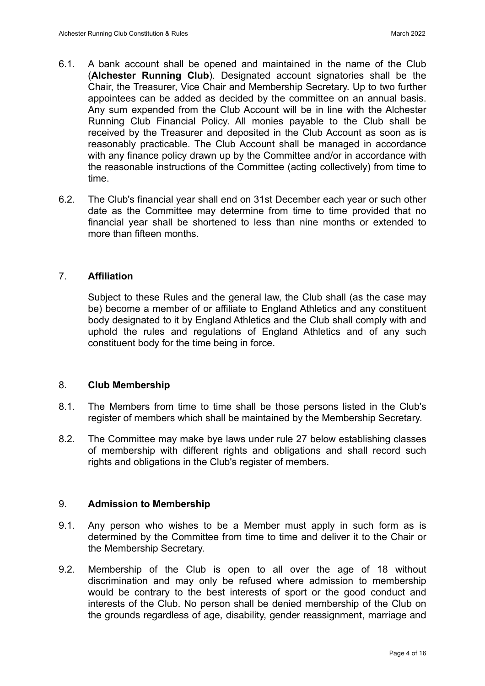- 6.1. A bank account shall be opened and maintained in the name of the Club (**Alchester Running Club**). Designated account signatories shall be the Chair, the Treasurer, Vice Chair and Membership Secretary. Up to two further appointees can be added as decided by the committee on an annual basis. Any sum expended from the Club Account will be in line with the Alchester Running Club Financial Policy. All monies payable to the Club shall be received by the Treasurer and deposited in the Club Account as soon as is reasonably practicable. The Club Account shall be managed in accordance with any finance policy drawn up by the Committee and/or in accordance with the reasonable instructions of the Committee (acting collectively) from time to time.
- 6.2. The Club's financial year shall end on 31st December each year or such other date as the Committee may determine from time to time provided that no financial year shall be shortened to less than nine months or extended to more than fifteen months.

### 7. **Affiliation**

Subject to these Rules and the general law, the Club shall (as the case may be) become a member of or affiliate to England Athletics and any constituent body designated to it by England Athletics and the Club shall comply with and uphold the rules and regulations of England Athletics and of any such constituent body for the time being in force.

#### 8. **Club Membership**

- 8.1. The Members from time to time shall be those persons listed in the Club's register of members which shall be maintained by the Membership Secretary.
- 8.2. The Committee may make bye laws under rule 27 below establishing classes of membership with different rights and obligations and shall record such rights and obligations in the Club's register of members.

#### 9. **Admission to Membership**

- 9.1. Any person who wishes to be a Member must apply in such form as is determined by the Committee from time to time and deliver it to the Chair or the Membership Secretary.
- 9.2. Membership of the Club is open to all over the age of 18 without discrimination and may only be refused where admission to membership would be contrary to the best interests of sport or the good conduct and interests of the Club. No person shall be denied membership of the Club on the grounds regardless of age, disability, gender reassignment, marriage and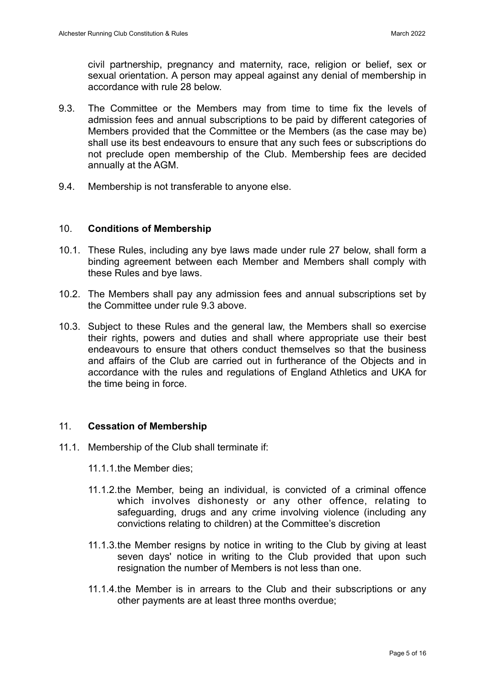civil partnership, pregnancy and maternity, race, religion or belief, sex or sexual orientation. A person may appeal against any denial of membership in accordance with rule 28 below.

- 9.3. The Committee or the Members may from time to time fix the levels of admission fees and annual subscriptions to be paid by different categories of Members provided that the Committee or the Members (as the case may be) shall use its best endeavours to ensure that any such fees or subscriptions do not preclude open membership of the Club. Membership fees are decided annually at the AGM.
- 9.4. Membership is not transferable to anyone else.

### 10. **Conditions of Membership**

- 10.1. These Rules, including any bye laws made under rule 27 below, shall form a binding agreement between each Member and Members shall comply with these Rules and bye laws.
- 10.2. The Members shall pay any admission fees and annual subscriptions set by the Committee under rule 9.3 above.
- 10.3. Subject to these Rules and the general law, the Members shall so exercise their rights, powers and duties and shall where appropriate use their best endeavours to ensure that others conduct themselves so that the business and affairs of the Club are carried out in furtherance of the Objects and in accordance with the rules and regulations of England Athletics and UKA for the time being in force.

### 11. **Cessation of Membership**

- 11.1. Membership of the Club shall terminate if:
	- 11.1.1.the Member dies;
	- 11.1.2.the Member, being an individual, is convicted of a criminal offence which involves dishonesty or any other offence, relating to safeguarding, drugs and any crime involving violence (including any convictions relating to children) at the Committee's discretion
	- 11.1.3.the Member resigns by notice in writing to the Club by giving at least seven days' notice in writing to the Club provided that upon such resignation the number of Members is not less than one.
	- 11.1.4.the Member is in arrears to the Club and their subscriptions or any other payments are at least three months overdue;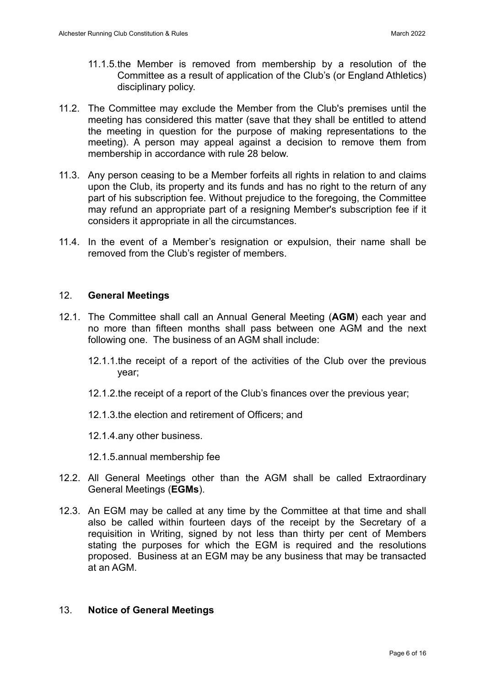- 11.1.5.the Member is removed from membership by a resolution of the Committee as a result of application of the Club's (or England Athletics) disciplinary policy.
- 11.2. The Committee may exclude the Member from the Club's premises until the meeting has considered this matter (save that they shall be entitled to attend the meeting in question for the purpose of making representations to the meeting). A person may appeal against a decision to remove them from membership in accordance with rule 28 below.
- 11.3. Any person ceasing to be a Member forfeits all rights in relation to and claims upon the Club, its property and its funds and has no right to the return of any part of his subscription fee. Without prejudice to the foregoing, the Committee may refund an appropriate part of a resigning Member's subscription fee if it considers it appropriate in all the circumstances.
- 11.4. In the event of a Member's resignation or expulsion, their name shall be removed from the Club's register of members.

### 12. **General Meetings**

- 12.1. The Committee shall call an Annual General Meeting (**AGM**) each year and no more than fifteen months shall pass between one AGM and the next following one. The business of an AGM shall include:
	- 12.1.1.the receipt of a report of the activities of the Club over the previous year;
	- 12.1.2.the receipt of a report of the Club's finances over the previous year;
	- 12.1.3.the election and retirement of Officers; and
	- 12.1.4.any other business.
	- 12.1.5.annual membership fee
- 12.2. All General Meetings other than the AGM shall be called Extraordinary General Meetings (**EGMs**).
- 12.3. An EGM may be called at any time by the Committee at that time and shall also be called within fourteen days of the receipt by the Secretary of a requisition in Writing, signed by not less than thirty per cent of Members stating the purposes for which the EGM is required and the resolutions proposed. Business at an EGM may be any business that may be transacted at an AGM.

### 13. **Notice of General Meetings**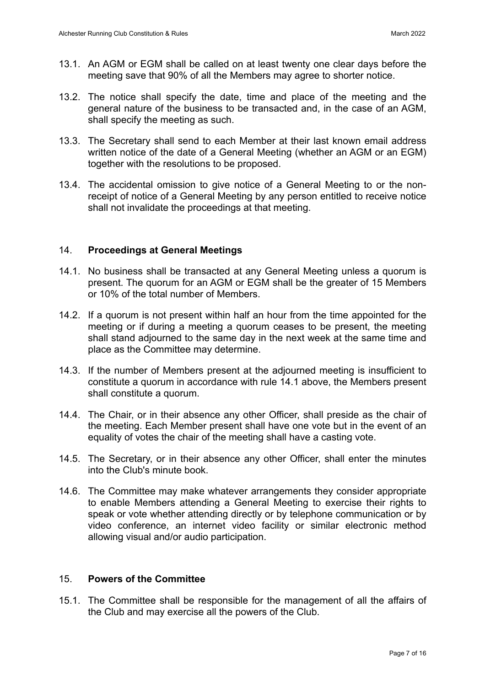- 13.1. An AGM or EGM shall be called on at least twenty one clear days before the meeting save that 90% of all the Members may agree to shorter notice.
- 13.2. The notice shall specify the date, time and place of the meeting and the general nature of the business to be transacted and, in the case of an AGM, shall specify the meeting as such.
- 13.3. The Secretary shall send to each Member at their last known email address written notice of the date of a General Meeting (whether an AGM or an EGM) together with the resolutions to be proposed.
- 13.4. The accidental omission to give notice of a General Meeting to or the nonreceipt of notice of a General Meeting by any person entitled to receive notice shall not invalidate the proceedings at that meeting.

### 14. **Proceedings at General Meetings**

- 14.1. No business shall be transacted at any General Meeting unless a quorum is present. The quorum for an AGM or EGM shall be the greater of 15 Members or 10% of the total number of Members.
- 14.2. If a quorum is not present within half an hour from the time appointed for the meeting or if during a meeting a quorum ceases to be present, the meeting shall stand adjourned to the same day in the next week at the same time and place as the Committee may determine.
- 14.3. If the number of Members present at the adjourned meeting is insufficient to constitute a quorum in accordance with rule 14.1 above, the Members present shall constitute a quorum.
- 14.4. The Chair, or in their absence any other Officer, shall preside as the chair of the meeting. Each Member present shall have one vote but in the event of an equality of votes the chair of the meeting shall have a casting vote.
- 14.5. The Secretary, or in their absence any other Officer, shall enter the minutes into the Club's minute book.
- 14.6. The Committee may make whatever arrangements they consider appropriate to enable Members attending a General Meeting to exercise their rights to speak or vote whether attending directly or by telephone communication or by video conference, an internet video facility or similar electronic method allowing visual and/or audio participation.

### 15. **Powers of the Committee**

15.1. The Committee shall be responsible for the management of all the affairs of the Club and may exercise all the powers of the Club.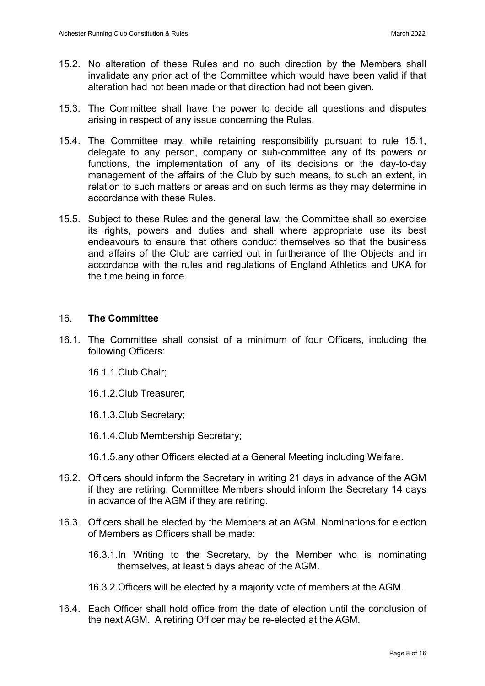- 15.2. No alteration of these Rules and no such direction by the Members shall invalidate any prior act of the Committee which would have been valid if that alteration had not been made or that direction had not been given.
- 15.3. The Committee shall have the power to decide all questions and disputes arising in respect of any issue concerning the Rules.
- 15.4. The Committee may, while retaining responsibility pursuant to rule 15.1, delegate to any person, company or sub-committee any of its powers or functions, the implementation of any of its decisions or the day-to-day management of the affairs of the Club by such means, to such an extent, in relation to such matters or areas and on such terms as they may determine in accordance with these Rules.
- 15.5. Subject to these Rules and the general law, the Committee shall so exercise its rights, powers and duties and shall where appropriate use its best endeavours to ensure that others conduct themselves so that the business and affairs of the Club are carried out in furtherance of the Objects and in accordance with the rules and regulations of England Athletics and UKA for the time being in force.

### 16. **The Committee**

- 16.1. The Committee shall consist of a minimum of four Officers, including the following Officers:
	- 16.1.1.Club Chair;
	- 16.1.2.Club Treasurer;
	- 16.1.3.Club Secretary;
	- 16.1.4.Club Membership Secretary;
	- 16.1.5.any other Officers elected at a General Meeting including Welfare.
- 16.2. Officers should inform the Secretary in writing 21 days in advance of the AGM if they are retiring. Committee Members should inform the Secretary 14 days in advance of the AGM if they are retiring.
- 16.3. Officers shall be elected by the Members at an AGM. Nominations for election of Members as Officers shall be made:
	- 16.3.1.In Writing to the Secretary, by the Member who is nominating themselves, at least 5 days ahead of the AGM.
	- 16.3.2.Officers will be elected by a majority vote of members at the AGM.
- 16.4. Each Officer shall hold office from the date of election until the conclusion of the next AGM. A retiring Officer may be re-elected at the AGM.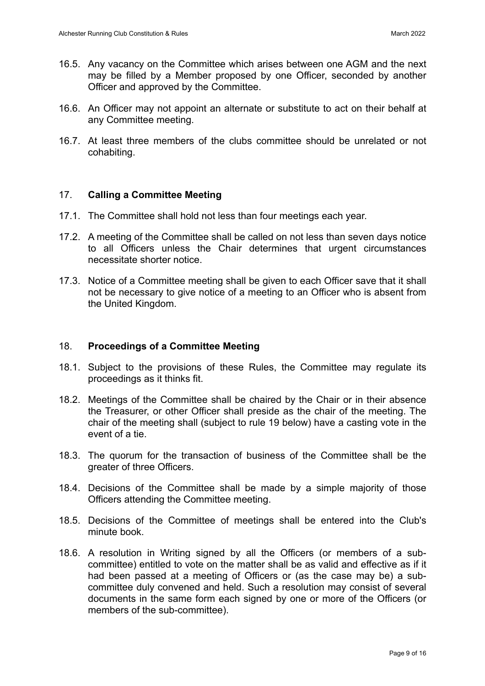- 16.5. Any vacancy on the Committee which arises between one AGM and the next may be filled by a Member proposed by one Officer, seconded by another Officer and approved by the Committee.
- 16.6. An Officer may not appoint an alternate or substitute to act on their behalf at any Committee meeting.
- 16.7. At least three members of the clubs committee should be unrelated or not cohabiting.

### 17. **Calling a Committee Meeting**

- 17.1. The Committee shall hold not less than four meetings each year.
- 17.2. A meeting of the Committee shall be called on not less than seven days notice to all Officers unless the Chair determines that urgent circumstances necessitate shorter notice.
- 17.3. Notice of a Committee meeting shall be given to each Officer save that it shall not be necessary to give notice of a meeting to an Officer who is absent from the United Kingdom.

### 18. **Proceedings of a Committee Meeting**

- 18.1. Subject to the provisions of these Rules, the Committee may regulate its proceedings as it thinks fit.
- 18.2. Meetings of the Committee shall be chaired by the Chair or in their absence the Treasurer, or other Officer shall preside as the chair of the meeting. The chair of the meeting shall (subject to rule 19 below) have a casting vote in the event of a tie.
- 18.3. The quorum for the transaction of business of the Committee shall be the greater of three Officers.
- 18.4. Decisions of the Committee shall be made by a simple majority of those Officers attending the Committee meeting.
- 18.5. Decisions of the Committee of meetings shall be entered into the Club's minute book.
- 18.6. A resolution in Writing signed by all the Officers (or members of a subcommittee) entitled to vote on the matter shall be as valid and effective as if it had been passed at a meeting of Officers or (as the case may be) a subcommittee duly convened and held. Such a resolution may consist of several documents in the same form each signed by one or more of the Officers (or members of the sub-committee).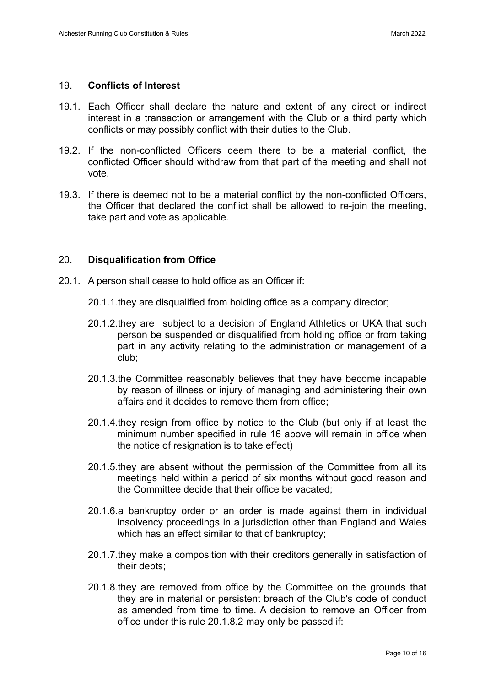#### 19. **Conflicts of Interest**

- 19.1. Each Officer shall declare the nature and extent of any direct or indirect interest in a transaction or arrangement with the Club or a third party which conflicts or may possibly conflict with their duties to the Club.
- 19.2. If the non-conflicted Officers deem there to be a material conflict, the conflicted Officer should withdraw from that part of the meeting and shall not vote.
- 19.3. If there is deemed not to be a material conflict by the non-conflicted Officers, the Officer that declared the conflict shall be allowed to re-join the meeting, take part and vote as applicable.

### 20. **Disqualification from Office**

- 20.1. A person shall cease to hold office as an Officer if:
	- 20.1.1.they are disqualified from holding office as a company director;
	- 20.1.2.they are subject to a decision of England Athletics or UKA that such person be suspended or disqualified from holding office or from taking part in any activity relating to the administration or management of a club;
	- 20.1.3.the Committee reasonably believes that they have become incapable by reason of illness or injury of managing and administering their own affairs and it decides to remove them from office;
	- 20.1.4.they resign from office by notice to the Club (but only if at least the minimum number specified in rule 16 above will remain in office when the notice of resignation is to take effect)
	- 20.1.5.they are absent without the permission of the Committee from all its meetings held within a period of six months without good reason and the Committee decide that their office be vacated;
	- 20.1.6.a bankruptcy order or an order is made against them in individual insolvency proceedings in a jurisdiction other than England and Wales which has an effect similar to that of bankruptcy;
	- 20.1.7.they make a composition with their creditors generally in satisfaction of their debts;
	- 20.1.8.they are removed from office by the Committee on the grounds that they are in material or persistent breach of the Club's code of conduct as amended from time to time. A decision to remove an Officer from office under this rule 20.1.8.2 may only be passed if: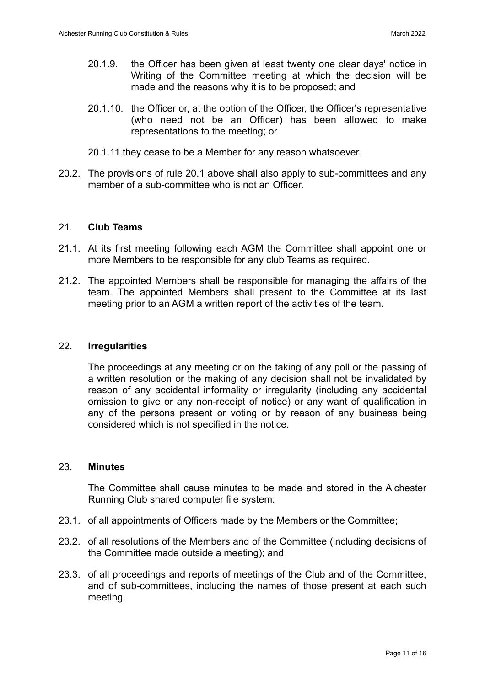- 20.1.9. the Officer has been given at least twenty one clear days' notice in Writing of the Committee meeting at which the decision will be made and the reasons why it is to be proposed; and
- 20.1.10. the Officer or, at the option of the Officer, the Officer's representative (who need not be an Officer) has been allowed to make representations to the meeting; or
- 20.1.11.they cease to be a Member for any reason whatsoever.
- 20.2. The provisions of rule 20.1 above shall also apply to sub-committees and any member of a sub-committee who is not an Officer

## 21. **Club Teams**

- 21.1. At its first meeting following each AGM the Committee shall appoint one or more Members to be responsible for any club Teams as required.
- 21.2. The appointed Members shall be responsible for managing the affairs of the team. The appointed Members shall present to the Committee at its last meeting prior to an AGM a written report of the activities of the team.

#### 22. **Irregularities**

The proceedings at any meeting or on the taking of any poll or the passing of a written resolution or the making of any decision shall not be invalidated by reason of any accidental informality or irregularity (including any accidental omission to give or any non-receipt of notice) or any want of qualification in any of the persons present or voting or by reason of any business being considered which is not specified in the notice.

#### 23. **Minutes**

The Committee shall cause minutes to be made and stored in the Alchester Running Club shared computer file system:

- 23.1. of all appointments of Officers made by the Members or the Committee;
- 23.2. of all resolutions of the Members and of the Committee (including decisions of the Committee made outside a meeting); and
- 23.3. of all proceedings and reports of meetings of the Club and of the Committee, and of sub-committees, including the names of those present at each such meeting.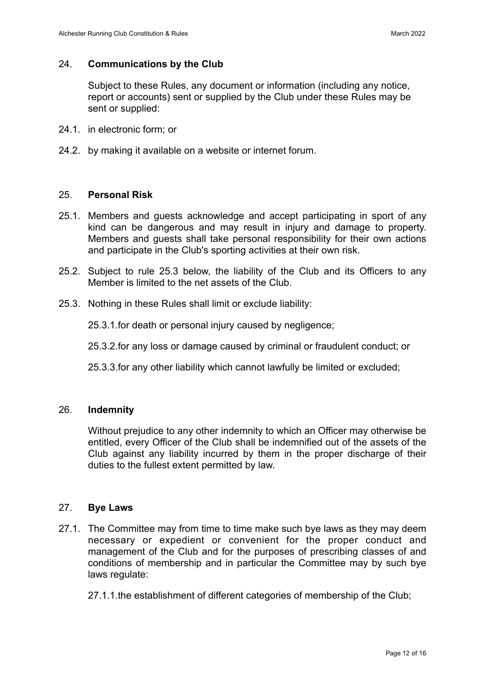### 24. **Communications by the Club**

Subject to these Rules, any document or information (including any notice, report or accounts) sent or supplied by the Club under these Rules may be sent or supplied:

- 24.1. in electronic form; or
- 24.2. by making it available on a website or internet forum.

### 25. **Personal Risk**

- 25.1. Members and guests acknowledge and accept participating in sport of any kind can be dangerous and may result in injury and damage to property. Members and guests shall take personal responsibility for their own actions and participate in the Club's sporting activities at their own risk.
- 25.2. Subject to rule 25.3 below, the liability of the Club and its Officers to any Member is limited to the net assets of the Club.
- 25.3. Nothing in these Rules shall limit or exclude liability:

25.3.1.for death or personal injury caused by negligence;

25.3.2.for any loss or damage caused by criminal or fraudulent conduct; or

25.3.3.for any other liability which cannot lawfully be limited or excluded;

### 26. **Indemnity**

Without prejudice to any other indemnity to which an Officer may otherwise be entitled, every Officer of the Club shall be indemnified out of the assets of the Club against any liability incurred by them in the proper discharge of their duties to the fullest extent permitted by law.

#### 27. **Bye Laws**

27.1. The Committee may from time to time make such bye laws as they may deem necessary or expedient or convenient for the proper conduct and management of the Club and for the purposes of prescribing classes of and conditions of membership and in particular the Committee may by such bye laws regulate:

27.1.1.the establishment of different categories of membership of the Club;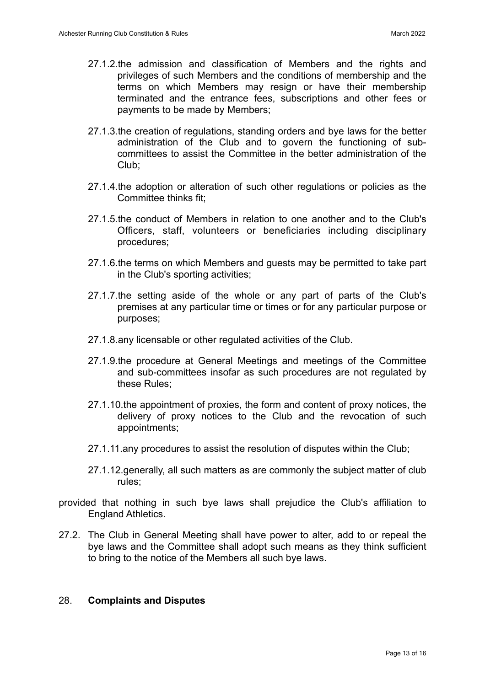- 27.1.2.the admission and classification of Members and the rights and privileges of such Members and the conditions of membership and the terms on which Members may resign or have their membership terminated and the entrance fees, subscriptions and other fees or payments to be made by Members;
- 27.1.3.the creation of regulations, standing orders and bye laws for the better administration of the Club and to govern the functioning of subcommittees to assist the Committee in the better administration of the Club;
- 27.1.4.the adoption or alteration of such other regulations or policies as the Committee thinks fit;
- 27.1.5.the conduct of Members in relation to one another and to the Club's Officers, staff, volunteers or beneficiaries including disciplinary procedures;
- 27.1.6.the terms on which Members and guests may be permitted to take part in the Club's sporting activities;
- 27.1.7.the setting aside of the whole or any part of parts of the Club's premises at any particular time or times or for any particular purpose or purposes;
- 27.1.8.any licensable or other regulated activities of the Club.
- 27.1.9.the procedure at General Meetings and meetings of the Committee and sub-committees insofar as such procedures are not regulated by these Rules;
- 27.1.10.the appointment of proxies, the form and content of proxy notices, the delivery of proxy notices to the Club and the revocation of such appointments;
- 27.1.11.any procedures to assist the resolution of disputes within the Club;
- 27.1.12.generally, all such matters as are commonly the subject matter of club rules;
- provided that nothing in such bye laws shall prejudice the Club's affiliation to England Athletics.
- 27.2. The Club in General Meeting shall have power to alter, add to or repeal the bye laws and the Committee shall adopt such means as they think sufficient to bring to the notice of the Members all such bye laws.

#### 28. **Complaints and Disputes**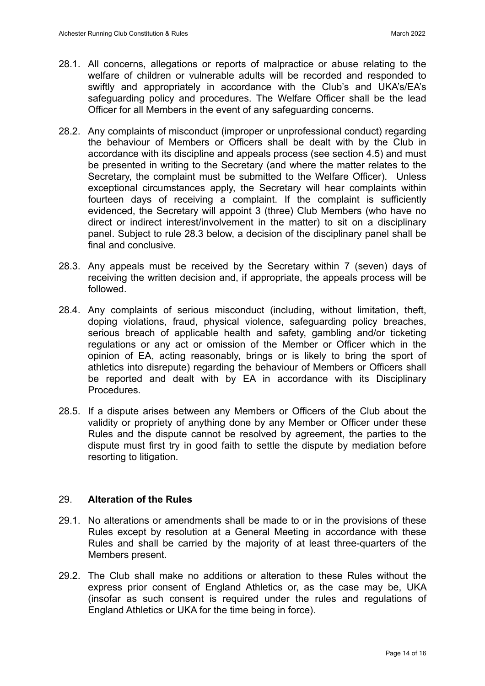- 28.1. All concerns, allegations or reports of malpractice or abuse relating to the welfare of children or vulnerable adults will be recorded and responded to swiftly and appropriately in accordance with the Club's and UKA's/EA's safeguarding policy and procedures. The Welfare Officer shall be the lead Officer for all Members in the event of any safeguarding concerns.
- 28.2. Any complaints of misconduct (improper or unprofessional conduct) regarding the behaviour of Members or Officers shall be dealt with by the Club in accordance with its discipline and appeals process (see section 4.5) and must be presented in writing to the Secretary (and where the matter relates to the Secretary, the complaint must be submitted to the Welfare Officer).Unless exceptional circumstances apply, the Secretary will hear complaints within fourteen days of receiving a complaint. If the complaint is sufficiently evidenced, the Secretary will appoint 3 (three) Club Members (who have no direct or indirect interest/involvement in the matter) to sit on a disciplinary panel. Subject to rule 28.3 below, a decision of the disciplinary panel shall be final and conclusive.
- 28.3. Any appeals must be received by the Secretary within 7 (seven) days of receiving the written decision and, if appropriate, the appeals process will be followed.
- 28.4. Any complaints of serious misconduct (including, without limitation, theft, doping violations, fraud, physical violence, safeguarding policy breaches, serious breach of applicable health and safety, gambling and/or ticketing regulations or any act or omission of the Member or Officer which in the opinion of EA, acting reasonably, brings or is likely to bring the sport of athletics into disrepute) regarding the behaviour of Members or Officers shall be reported and dealt with by EA in accordance with its Disciplinary Procedures.
- 28.5. If a dispute arises between any Members or Officers of the Club about the validity or propriety of anything done by any Member or Officer under these Rules and the dispute cannot be resolved by agreement, the parties to the dispute must first try in good faith to settle the dispute by mediation before resorting to litigation.

# 29. **Alteration of the Rules**

- 29.1. No alterations or amendments shall be made to or in the provisions of these Rules except by resolution at a General Meeting in accordance with these Rules and shall be carried by the majority of at least three-quarters of the Members present.
- 29.2. The Club shall make no additions or alteration to these Rules without the express prior consent of England Athletics or, as the case may be, UKA (insofar as such consent is required under the rules and regulations of England Athletics or UKA for the time being in force).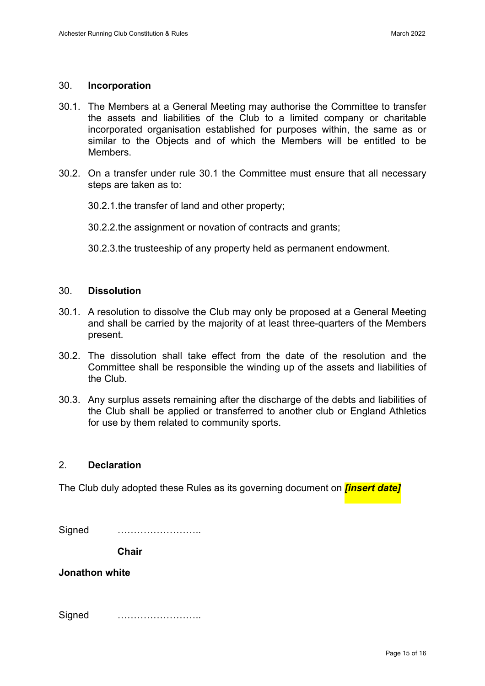#### 30. **Incorporation**

- 30.1. The Members at a General Meeting may authorise the Committee to transfer the assets and liabilities of the Club to a limited company or charitable incorporated organisation established for purposes within, the same as or similar to the Objects and of which the Members will be entitled to be **Members**
- 30.2. On a transfer under rule 30.1 the Committee must ensure that all necessary steps are taken as to:
	- 30.2.1.the transfer of land and other property;

30.2.2.the assignment or novation of contracts and grants;

30.2.3.the trusteeship of any property held as permanent endowment.

#### 30. **Dissolution**

- 30.1. A resolution to dissolve the Club may only be proposed at a General Meeting and shall be carried by the majority of at least three-quarters of the Members present.
- 30.2. The dissolution shall take effect from the date of the resolution and the Committee shall be responsible the winding up of the assets and liabilities of the Club.
- 30.3. Any surplus assets remaining after the discharge of the debts and liabilities of the Club shall be applied or transferred to another club or England Athletics for use by them related to community sports.

### 2. **Declaration**

The Club duly adopted these Rules as its governing document on *[insert date]*

| Signed |  |
|--------|--|
|        |  |

**Chair**

**Jonathon white**

Signed ……………………..